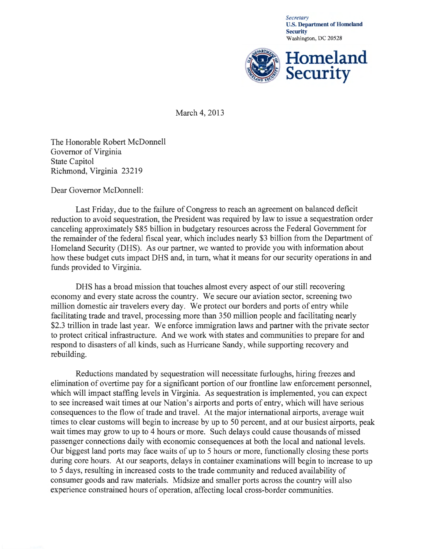*Secretary*  U.S. Department of Homeland **Security** Washington, DC 20528



March 4, 2013

The Honorable Robert McDonnell Governor of Virginia State Capitol Richmond, Virginia 23219

Dear Governor McDonnell:

Last Friday, due to the failure of Congress to reach an agreement on balanced deficit reduction to avoid sequestration, the President was required by law to issue a sequestration order canceling approximately \$85 billion in budgetary resources across the Federal Government for the remainder of the federal fiscal year, which includes nearly \$3 billion from the Department of Homeland Security (DHS). As our partner, we wanted to provide you with information about how these budget cuts impact DHS and, in tum, what it means for our security operations in and funds provided to Virginia.

DHS has a broad mission that touches almost every aspect of our still recovering economy and every state across the country. We secure our aviation sector, screening two million domestic air travelers every day. We protect our borders and ports of entry while facilitating trade and travel, processing more than 350 million people and facilitating nearly \$2.3 trillion in trade last year. We enforce immigration laws and partner with the private sector to protect critical infrastructure. And we work with states and communities to prepare for and respond to disasters of all kinds, such as Hurricane Sandy, while supporting recovery and rebuilding.

Reductions mandated by sequestration will necessitate furloughs, hiring freezes and elimination of overtime pay for a significant portion of our frontline law enforcement personnel, which will impact staffing levels in Virginia. As sequestration is implemented, you can expect to see increased wait times at our Nation's airports and ports of entry, which will have serious consequences to the flow of trade and travel. At the major international airports, average wait times to clear customs will begin to increase by up to 50 percent, and at our busiest airports, peak wait times may grow to up to 4 hours or more. Such delays could cause thousands of missed passenger connections daily with economic consequences at both the local and national levels. Our biggest land ports may face waits of up to 5 hours or more, functionally closing these ports during core hours. At our seaports, delays in container examinations will begin to increase to up to 5 days, resulting in increased costs to the trade community and reduced availability of consumer goods and raw materials. Midsize and smaller ports across the country will also experience constrained hours of operation, affecting local cross-border communities.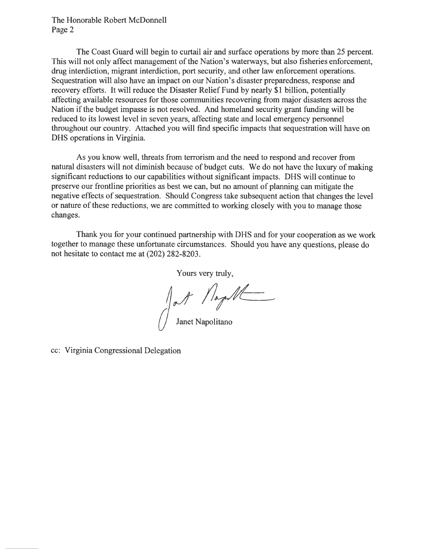The Honorable Robert McDonnell Page 2

The Coast Guard will begin to curtail air and surface operations by more than 25 percent. This will not only affect management of the Nation's waterways, but also fisheries enforcement, drug interdiction, migrant interdiction, port security, and other law enforcement operations. Sequestration will also have an impact on our Nation's disaster preparedness, response and recovery efforts. It will reduce the Disaster Relief Fund by nearly \$1 billion, potentially affecting available resources for those communities recovering from major disasters across the Nation if the budget impasse is not resolved. And homeland security grant funding will be reduced to its lowest level in seven years, affecting state and local emergency personnel throughout our country. Attached you will find specific impacts that sequestration will have on DHS operations in Virginia.

As you know well, threats from terrorism and the need to respond and recover from natural disasters will not diminish because of budget cuts. We do not have the luxury of making significant reductions to our capabilities without significant impacts. DHS will continue to preserve our frontline priorities as best we can, but no amount of planning can mitigate the negative effects of sequestration. Should Congress take subsequent action that changes the level or nature of these reductions, we are committed to working closely with you to manage those changes.

Thank you for your continued partnership with DHS and for your cooperation as we work together to manage these unfortunate circumstances. Should you have any questions, please do not hesitate to contact me at (202) 282-8203.

Yours very truly,

 $\blacksquare$ Janet Napolitano

cc: Virginia Congressional Delegation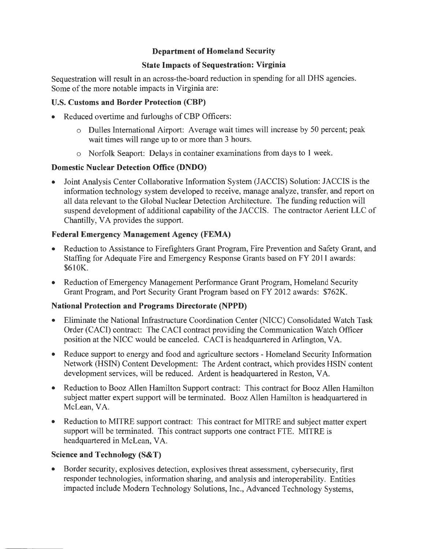#### **Department of Homeland Security**

#### **State Impacts of Sequestration: Virginia**

Sequestration will result in an across-the-board reduction in spending for all DHS agencies. Some of the more notable impacts in Virginia are:

## **U.S. Customs and Border Protection (CBP)**

- Reduced overtime and furloughs of CBP Officers:
	- o Dulles International Airport: Average wait times will increase by 50 percent; peak wait times will range up to or more than 3 hours.
	- o Norfolk Seaport: Delays in container examinations from days to **1** week.

#### **Domestic Nuclear Detection Office (DNDO)**

• Joint Analysis Center Collaborative Information System (JACCIS) Solution: JACCIS is the information technology system developed to receive, manage analyze, transfer, and report on all data relevant to the Global Nuclear Detection Architecture. The funding reduction will suspend development of additional capability of the JACCIS. The contractor Aerient LLC of Chantilly, VA provides the support.

# **Federal Emergency Management Agency (FEMA)**

- Reduction to Assistance to Firefighters Grant Program, Fire Prevention and Safety Grant, and Staffing for Adequate Fire and Emergency Response Grants based on FY 2011 awards: \$610K.
- Reduction of Emergency Management Performance Grant Program, Homeland Security Grant Program, and Port Security Grant Program based on FY 2012 awards: \$762K.

# **National Protection and Programs Directorate (NPPD)**

- Eliminate the National Infrastructure Coordination Center (NICC) Consolidated Watch Task Order (CACI) contract: The CACI contract providing the Communication Watch Officer position at the NICC would be canceled. CACI is headquartered in Arlington, VA.
- Reduce support to energy and food and agriculture sectors Homeland Security Information Network (HSIN) Content Development: The Ardent contract, which provides HSIN content development services, will be reduced. Ardent is headquartered in Reston, VA.
- Reduction to Booz Allen Hamilton Support contract: This contract for Booz Allen Hamilton subject matter expert support will be terminated. Booz Allen Hamilton is headquartered in McLean, VA.
- Reduction to MITRE support contract: This contract for MITRE and subject matter expert support will be terminated. This contract supports one contract FTE. MITRE is headquartered in McLean, VA.

# **Science and Technology (S&T)**

• Border security, explosives detection, explosives threat assessment, cybersecurity, first responder technologies, information sharing, and analysis and interoperability. Entities impacted include Modem Technology Solutions, Inc., Advanced Technology Systems,